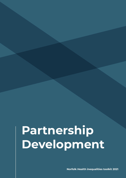**Norfolk Health inequalities toolkit 2021**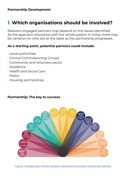# **1. Which organisations should be involved?**

Relevant engaged partners may depend on the issues identified. As the approach should be with the whole system in mind, there may be variation on who sits at the table as the partnership progresses.

#### **As a starting point, potential partners could include:**

- Local authorities
- Clinical Commissioning Groups
- Community and Voluntary sector
- Academia
- Health and Social Care
- Police
- Housing partnerships



#### **Partnership: The key to success**

[Figure 1 Designing a Whole Systems approach to prevent and tackle obesity](https://publichealthmatters.blog.gov.uk/2015/10/14/designing-a-whole-systems-approach-to-prevent-and-tackle-obesity/)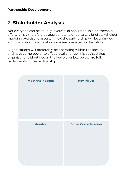## **2. Stakeholder Analysis**

Not everyone can be equally involved, or should be, in a partnership effort. It may therefore be appropriate to undertake a brief stakeholder mapping exercise to ascertain how the partnership will be arranged and how stakeholder relationships are managed in the future.

Organisations will preferably be operating within the locality and have some power to effect local change. It is advised that organisations identified in the key player box below are full participants in the partnership.

| <b>Meet the neeeds</b> | <b>Key Player</b>         |
|------------------------|---------------------------|
| <b>Monitor</b>         | <b>Show Consideration</b> |